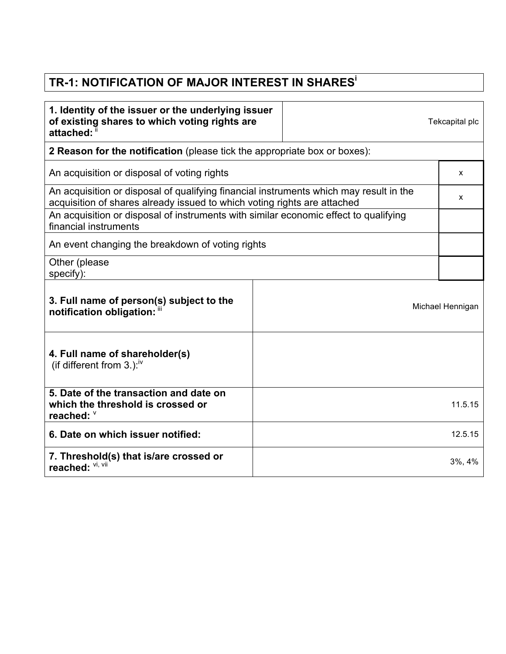## **TR-1: NOTIFICATION OF MAJOR INTEREST IN SHARES<sup>i</sup>**

| 1. Identity of the issuer or the underlying issuer<br>of existing shares to which voting rights are<br>attached:                                                   |  | Tekcapital plc |                  |  |
|--------------------------------------------------------------------------------------------------------------------------------------------------------------------|--|----------------|------------------|--|
| 2 Reason for the notification (please tick the appropriate box or boxes):                                                                                          |  |                |                  |  |
| An acquisition or disposal of voting rights                                                                                                                        |  |                |                  |  |
| An acquisition or disposal of qualifying financial instruments which may result in the<br>acquisition of shares already issued to which voting rights are attached |  |                |                  |  |
| An acquisition or disposal of instruments with similar economic effect to qualifying<br>financial instruments                                                      |  |                |                  |  |
| An event changing the breakdown of voting rights                                                                                                                   |  |                |                  |  |
| Other (please<br>specify):                                                                                                                                         |  |                |                  |  |
| 3. Full name of person(s) subject to the<br>notification obligation: "                                                                                             |  |                | Michael Hennigan |  |
| 4. Full name of shareholder(s)<br>(if different from 3.): $\frac{iv}{ }$                                                                                           |  |                |                  |  |
| 5. Date of the transaction and date on<br>which the threshold is crossed or<br>reached: V                                                                          |  |                | 11.5.15          |  |
| 6. Date on which issuer notified:                                                                                                                                  |  |                | 12.5.15          |  |
| 7. Threshold(s) that is/are crossed or<br>reached: VI, VII                                                                                                         |  |                | $3\%, 4\%$       |  |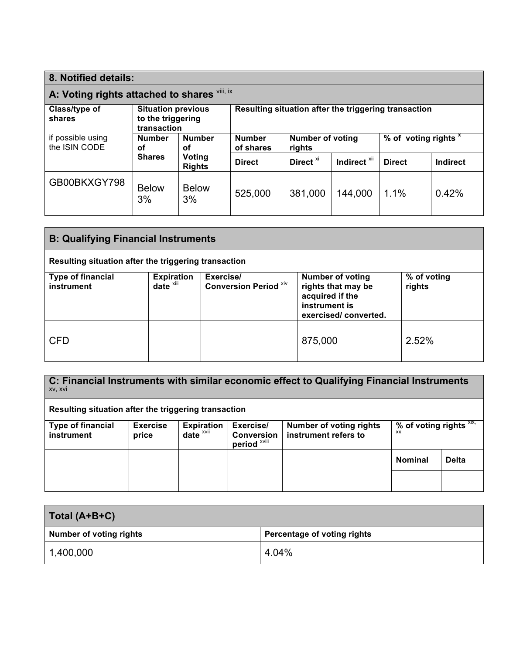| 8. Notified details:                         |                                                               |                      |                                                      |                                   |                 |                                 |       |
|----------------------------------------------|---------------------------------------------------------------|----------------------|------------------------------------------------------|-----------------------------------|-----------------|---------------------------------|-------|
| A: Voting rights attached to shares Vill, ix |                                                               |                      |                                                      |                                   |                 |                                 |       |
| Class/type of<br>shares                      | <b>Situation previous</b><br>to the triggering<br>transaction |                      | Resulting situation after the triggering transaction |                                   |                 |                                 |       |
| if possible using<br>the ISIN CODE           | <b>Number</b><br><b>Number</b><br>οf<br>οf                    |                      | <b>Number</b><br>of shares                           | <b>Number of voting</b><br>rights |                 | % of voting rights <sup>x</sup> |       |
| <b>Shares</b><br>Voting<br><b>Rights</b>     | <b>Direct</b>                                                 | Direct <sup>xi</sup> | Indirect <sup>xii</sup>                              | <b>Direct</b>                     | <b>Indirect</b> |                                 |       |
| GB00BKXGY798                                 | <b>Below</b><br>3%                                            | <b>Below</b><br>3%   | 525,000                                              | 381,000                           | 144,000         | 1.1%                            | 0.42% |

| <b>B: Qualifying Financial Instruments</b>           |                                   |                                           |                                                                                                           |                       |  |
|------------------------------------------------------|-----------------------------------|-------------------------------------------|-----------------------------------------------------------------------------------------------------------|-----------------------|--|
| Resulting situation after the triggering transaction |                                   |                                           |                                                                                                           |                       |  |
| <b>Type of financial</b><br>instrument               | <b>Expiration</b><br>date $x$ iii | Exercise/<br><b>Conversion Period XIV</b> | <b>Number of voting</b><br>rights that may be<br>acquired if the<br>instrument is<br>exercised/converted. | % of voting<br>rights |  |
| <b>CFD</b>                                           |                                   |                                           | 875,000                                                                                                   | 2.52%                 |  |

| C: Financial Instruments with similar economic effect to Qualifying Financial Instruments<br>XV, XVI |                 |                         |                                              |                                |                               |              |
|------------------------------------------------------------------------------------------------------|-----------------|-------------------------|----------------------------------------------|--------------------------------|-------------------------------|--------------|
| Resulting situation after the triggering transaction                                                 |                 |                         |                                              |                                |                               |              |
| <b>Type of financial</b>                                                                             | <b>Exercise</b> | <b>Expiration</b>       | Exercise/                                    | <b>Number of voting rights</b> | % of voting rights XIX,<br>XX |              |
| <b>instrument</b>                                                                                    | price           | date $x$ <sup>vii</sup> | <b>Conversion</b><br>period <sup>xviii</sup> | instrument refers to           |                               |              |
|                                                                                                      |                 |                         |                                              |                                | <b>Nominal</b>                | <b>Delta</b> |
|                                                                                                      |                 |                         |                                              |                                |                               |              |

| Total (A+B+C)           |                                    |  |  |
|-------------------------|------------------------------------|--|--|
| Number of voting rights | <b>Percentage of voting rights</b> |  |  |
| 1,400,000               | 4.04%                              |  |  |